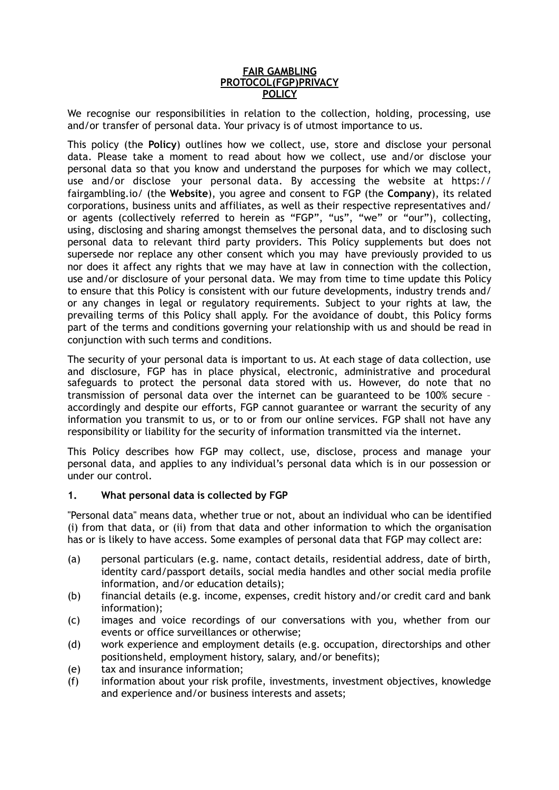#### **FAIR GAMBLING PROTOCOL(FGP)PRIVACY POLICY**

We recognise our responsibilities in relation to the collection, holding, processing, use and/or transfer of personal data. Your privacy is of utmost importance to us.

This policy (the **Policy**) outlines how we collect, use, store and disclose your personal data. Please take a moment to read about how we collect, use and/or disclose your personal data so that you know and understand the purposes for which we may collect, use and/or disclose your personal data. By accessing the website at https:// fairgambling.io/ (the **Website**), you agree and consent to FGP (the **Company**), its related corporations, business units and affiliates, as well as their respective representatives and/ or agents (collectively referred to herein as "FGP", "us", "we" or "our"), collecting, using, disclosing and sharing amongst themselves the personal data, and to disclosing such personal data to relevant third party providers. This Policy supplements but does not supersede nor replace any other consent which you may have previously provided to us nor does it affect any rights that we may have at law in connection with the collection, use and/or disclosure of your personal data. We may from time to time update this Policy to ensure that this Policy is consistent with our future developments, industry trends and/ or any changes in legal or regulatory requirements. Subject to your rights at law, the prevailing terms of this Policy shall apply. For the avoidance of doubt, this Policy forms part of the terms and conditions governing your relationship with us and should be read in conjunction with such terms and conditions.

The security of your personal data is important to us. At each stage of data collection, use and disclosure, FGP has in place physical, electronic, administrative and procedural safeguards to protect the personal data stored with us. However, do note that no transmission of personal data over the internet can be guaranteed to be 100% secure – accordingly and despite our efforts, FGP cannot guarantee or warrant the security of any information you transmit to us, or to or from our online services. FGP shall not have any responsibility or liability for the security of information transmitted via the internet.

This Policy describes how FGP may collect, use, disclose, process and manage your personal data, and applies to any individual's personal data which is in our possession or under our control.

## **1. What personal data is collected by FGP**

"Personal data" means data, whether true or not, about an individual who can be identified (i) from that data, or (ii) from that data and other information to which the organisation has or is likely to have access. Some examples of personal data that FGP may collect are:

- (a) personal particulars (e.g. name, contact details, residential address, date of birth, identity card/passport details, social media handles and other social media profile information, and/or education details);
- (b) financial details (e.g. income, expenses, credit history and/or credit card and bank information);
- (c) images and voice recordings of our conversations with you, whether from our events or office surveillances or otherwise;
- (d) work experience and employment details (e.g. occupation, directorships and other positionsheld, employment history, salary, and/or benefits);
- (e) tax and insurance information;
- (f) information about your risk profile, investments, investment objectives, knowledge and experience and/or business interests and assets;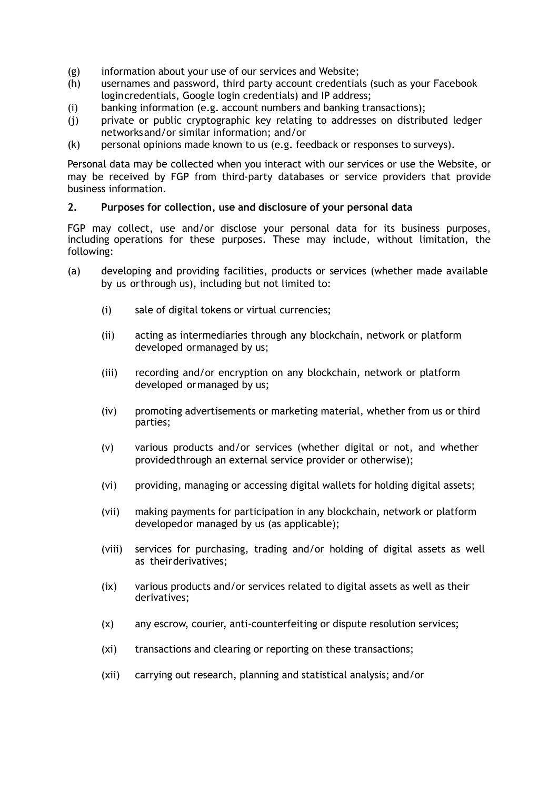- (g) information about your use of our services and Website;
- (h) usernames and password, third party account credentials (such as your Facebook logincredentials, Google login credentials) and IP address;
- (i) banking information (e.g. account numbers and banking transactions);
- (j) private or public cryptographic key relating to addresses on distributed ledger networksand/or similar information; and/or
- (k) personal opinions made known to us (e.g. feedback or responses to surveys).

Personal data may be collected when you interact with our services or use the Website, or may be received by FGP from third-party databases or service providers that provide business information.

### **2. Purposes for collection, use and disclosure of your personal data**

FGP may collect, use and/or disclose your personal data for its business purposes, including operations for these purposes. These may include, without limitation, the following:

- (a) developing and providing facilities, products or services (whether made available by us orthrough us), including but not limited to:
	- (i) sale of digital tokens or virtual currencies;
	- (ii) acting as intermediaries through any blockchain, network or platform developed ormanaged by us;
	- (iii) recording and/or encryption on any blockchain, network or platform developed ormanaged by us;
	- (iv) promoting advertisements or marketing material, whether from us or third parties;
	- (v) various products and/or services (whether digital or not, and whether providedthrough an external service provider or otherwise);
	- (vi) providing, managing or accessing digital wallets for holding digital assets;
	- (vii) making payments for participation in any blockchain, network or platform developedor managed by us (as applicable);
	- (viii) services for purchasing, trading and/or holding of digital assets as well as theirderivatives;
	- (ix) various products and/or services related to digital assets as well as their derivatives;
	- (x) any escrow, courier, anti-counterfeiting or dispute resolution services;
	- (xi) transactions and clearing or reporting on these transactions;
	- (xii) carrying out research, planning and statistical analysis; and/or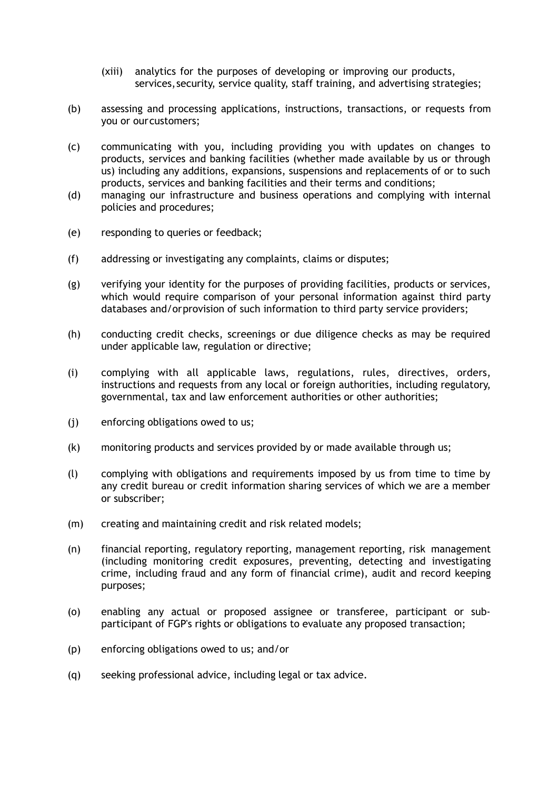- (xiii) analytics for the purposes of developing or improving our products, services, security, service quality, staff training, and advertising strategies;
- (b) assessing and processing applications, instructions, transactions, or requests from you or ourcustomers;
- (c) communicating with you, including providing you with updates on changes to products, services and banking facilities (whether made available by us or through us) including any additions, expansions, suspensions and replacements of or to such products, services and banking facilities and their terms and conditions;
- (d) managing our infrastructure and business operations and complying with internal policies and procedures;
- (e) responding to queries or feedback;
- (f) addressing or investigating any complaints, claims or disputes;
- (g) verifying your identity for the purposes of providing facilities, products or services, which would require comparison of your personal information against third party databases and/orprovision of such information to third party service providers;
- (h) conducting credit checks, screenings or due diligence checks as may be required under applicable law, regulation or directive;
- (i) complying with all applicable laws, regulations, rules, directives, orders, instructions and requests from any local or foreign authorities, including regulatory, governmental, tax and law enforcement authorities or other authorities;
- (j) enforcing obligations owed to us;
- (k) monitoring products and services provided by or made available through us;
- (l) complying with obligations and requirements imposed by us from time to time by any credit bureau or credit information sharing services of which we are a member or subscriber;
- (m) creating and maintaining credit and risk related models;
- (n) financial reporting, regulatory reporting, management reporting, risk management (including monitoring credit exposures, preventing, detecting and investigating crime, including fraud and any form of financial crime), audit and record keeping purposes;
- (o) enabling any actual or proposed assignee or transferee, participant or subparticipant of FGP's rights or obligations to evaluate any proposed transaction;
- (p) enforcing obligations owed to us; and/or
- (q) seeking professional advice, including legal or tax advice.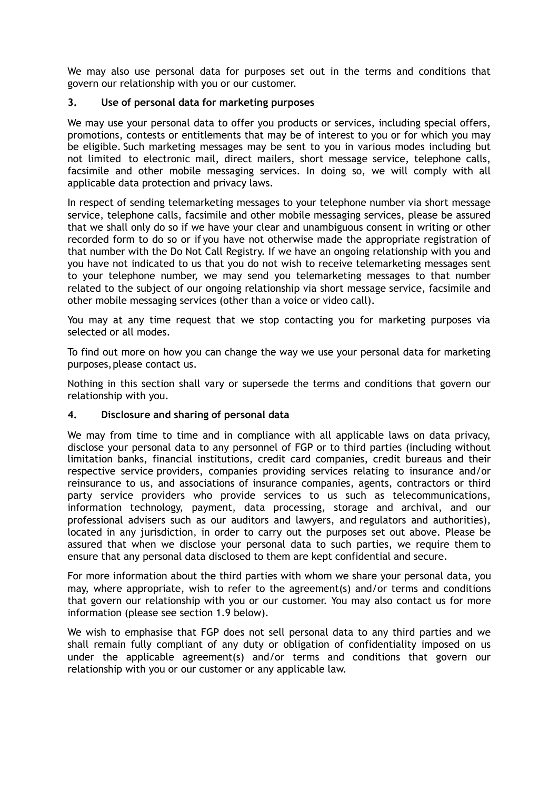We may also use personal data for purposes set out in the terms and conditions that govern our relationship with you or our customer.

## **3. Use of personal data for marketing purposes**

We may use your personal data to offer you products or services, including special offers, promotions, contests or entitlements that may be of interest to you or for which you may be eligible. Such marketing messages may be sent to you in various modes including but not limited to electronic mail, direct mailers, short message service, telephone calls, facsimile and other mobile messaging services. In doing so, we will comply with all applicable data protection and privacy laws.

In respect of sending telemarketing messages to your telephone number via short message service, telephone calls, facsimile and other mobile messaging services, please be assured that we shall only do so if we have your clear and unambiguous consent in writing or other recorded form to do so or if you have not otherwise made the appropriate registration of that number with the Do Not Call Registry. If we have an ongoing relationship with you and you have not indicated to us that you do not wish to receive telemarketing messages sent to your telephone number, we may send you telemarketing messages to that number related to the subject of our ongoing relationship via short message service, facsimile and other mobile messaging services (other than a voice or video call).

You may at any time request that we stop contacting you for marketing purposes via selected or all modes.

To find out more on how you can change the way we use your personal data for marketing purposes,please contact us.

Nothing in this section shall vary or supersede the terms and conditions that govern our relationship with you.

### **4. Disclosure and sharing of personal data**

We may from time to time and in compliance with all applicable laws on data privacy, disclose your personal data to any personnel of FGP or to third parties (including without limitation banks, financial institutions, credit card companies, credit bureaus and their respective service providers, companies providing services relating to insurance and/or reinsurance to us, and associations of insurance companies, agents, contractors or third party service providers who provide services to us such as telecommunications, information technology, payment, data processing, storage and archival, and our professional advisers such as our auditors and lawyers, and regulators and authorities), located in any jurisdiction, in order to carry out the purposes set out above. Please be assured that when we disclose your personal data to such parties, we require them to ensure that any personal data disclosed to them are kept confidential and secure.

For more information about the third parties with whom we share your personal data, you may, where appropriate, wish to refer to the agreement(s) and/or terms and conditions that govern our relationship with you or our customer. You may also contact us for more information (please see section 1.9 below).

We wish to emphasise that FGP does not sell personal data to any third parties and we shall remain fully compliant of any duty or obligation of confidentiality imposed on us under the applicable agreement(s) and/or terms and conditions that govern our relationship with you or our customer or any applicable law.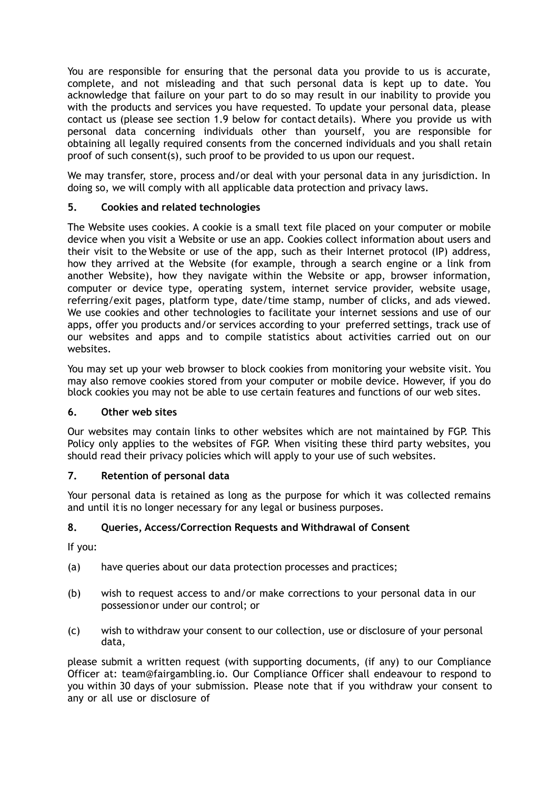You are responsible for ensuring that the personal data you provide to us is accurate, complete, and not misleading and that such personal data is kept up to date. You acknowledge that failure on your part to do so may result in our inability to provide you with the products and services you have requested. To update your personal data, please contact us (please see section 1.9 below for contact details). Where you provide us with personal data concerning individuals other than yourself, you are responsible for obtaining all legally required consents from the concerned individuals and you shall retain proof of such consent(s), such proof to be provided to us upon our request.

We may transfer, store, process and/or deal with your personal data in any jurisdiction. In doing so, we will comply with all applicable data protection and privacy laws.

# **5. Cookies and related technologies**

The Website uses cookies. A cookie is a small text file placed on your computer or mobile device when you visit a Website or use an app. Cookies collect information about users and their visit to the Website or use of the app, such as their Internet protocol (IP) address, how they arrived at the Website (for example, through a search engine or a link from another Website), how they navigate within the Website or app, browser information, computer or device type, operating system, internet service provider, website usage, referring/exit pages, platform type, date/time stamp, number of clicks, and ads viewed. We use cookies and other technologies to facilitate your internet sessions and use of our apps, offer you products and/or services according to your preferred settings, track use of our websites and apps and to compile statistics about activities carried out on our websites.

You may set up your web browser to block cookies from monitoring your website visit. You may also remove cookies stored from your computer or mobile device. However, if you do block cookies you may not be able to use certain features and functions of our web sites.

## **6. Other web sites**

Our websites may contain links to other websites which are not maintained by FGP. This Policy only applies to the websites of FGP. When visiting these third party websites, you should read their privacy policies which will apply to your use of such websites.

# **7. Retention of personal data**

Your personal data is retained as long as the purpose for which it was collected remains and until itis no longer necessary for any legal or business purposes.

# **8. Queries, Access/Correction Requests and Withdrawal of Consent**

If you:

- (a) have queries about our data protection processes and practices;
- (b) wish to request access to and/or make corrections to your personal data in our possessionor under our control; or
- (c) wish to withdraw your consent to our collection, use or disclosure of your personal data,

please submit a written request (with supporting documents, (if any) to our Compliance Officer at: [team@fairgambling.io.](mailto:team@fairgambling.io) Our Compliance Officer shall endeavour to respond to you within 30 days of your submission. Please note that if you withdraw your consent to any or all use or disclosure of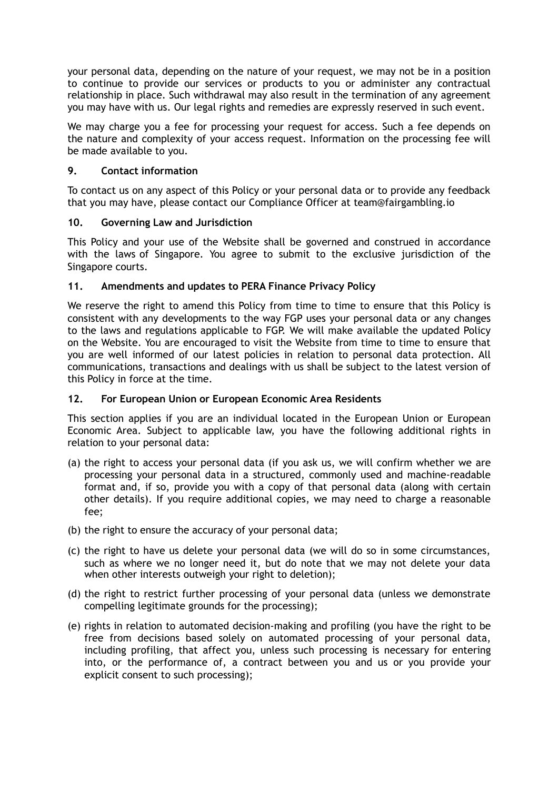your personal data, depending on the nature of your request, we may not be in a position to continue to provide our services or products to you or administer any contractual relationship in place. Such withdrawal may also result in the termination of any agreement you may have with us. Our legal rights and remedies are expressly reserved in such event.

We may charge you a fee for processing your request for access. Such a fee depends on the nature and complexity of your access request. Information on the processing fee will be made available to you.

# **9. Contact information**

To contact us on any aspect of this Policy or your personal data or to provide any feedback that you may have, please contact our Compliance Officer at [team@fairgambling.io](mailto:team@fairgambling.io)

## **10. Governing Law and Jurisdiction**

This Policy and your use of the Website shall be governed and construed in accordance with the laws of Singapore. You agree to submit to the exclusive jurisdiction of the Singapore courts.

# **11. Amendments and updates to PERA Finance Privacy Policy**

We reserve the right to amend this Policy from time to time to ensure that this Policy is consistent with any developments to the way FGP uses your personal data or any changes to the laws and regulations applicable to FGP. We will make available the updated Policy on the Website. You are encouraged to visit the Website from time to time to ensure that you are well informed of our latest policies in relation to personal data protection. All communications, transactions and dealings with us shall be subject to the latest version of this Policy in force at the time.

## **12. For European Union or European Economic Area Residents**

This section applies if you are an individual located in the European Union or European Economic Area. Subject to applicable law, you have the following additional rights in relation to your personal data:

- (a) the right to access your personal data (if you ask us, we will confirm whether we are processing your personal data in a structured, commonly used and machine-readable format and, if so, provide you with a copy of that personal data (along with certain other details). If you require additional copies, we may need to charge a reasonable fee;
- (b) the right to ensure the accuracy of your personal data;
- (c) the right to have us delete your personal data (we will do so in some circumstances, such as where we no longer need it, but do note that we may not delete your data when other interests outweigh your right to deletion);
- (d) the right to restrict further processing of your personal data (unless we demonstrate compelling legitimate grounds for the processing);
- (e) rights in relation to automated decision-making and profiling (you have the right to be free from decisions based solely on automated processing of your personal data, including profiling, that affect you, unless such processing is necessary for entering into, or the performance of, a contract between you and us or you provide your explicit consent to such processing);